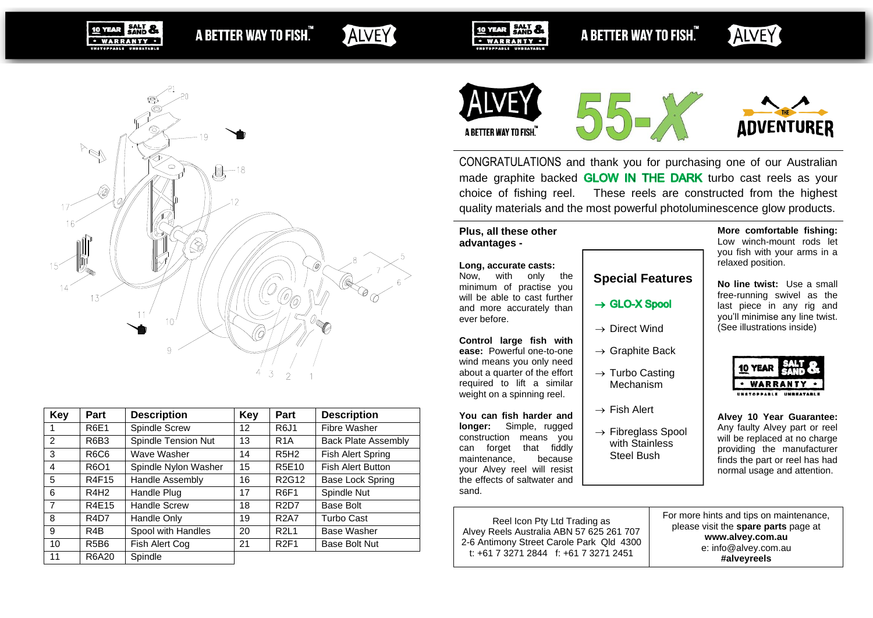10 YEAR SALT & · WARRANTY · UNSTOPPABLE UNBEATAL

# A BETTER WAY TO FISH."



A BETTER WAY TO FISH."



A BETTER WAY TO FISH.





CONGRATULATIONS and thank you for purchasing one of our Australian made graphite backed **GLOW IN THE DARK** turbo cast reels as your choice of fishing reel. These reels are constructed from the highest quality materials and the most powerful photoluminescence glow products.

#### **Plus, all these other advantages -**

#### **Long, accurate casts:**

Now, with only the minimum of practise you will be able to cast further and more accurately than ever before.

**Control large fish with ease:** Powerful one-to-one wind means you only need about a quarter of the effort required to lift a similar weight on a spinning reel.

**You can fish harder and longer:** Simple, rugged construction means you can forget that fiddly maintenance, because your Alvey reel will resist the effects of saltwater and sand.

Reel Icon Pty Ltd Trading as Alvey Reels Australia ABN 57 625 261 707 2-6 Antimony Street Carole Park Qld 4300 t: +61 7 3271 2844 f: +61 7 3271 2451

## **Special Features**

 $\rightarrow$  GLO-X Spool

- $\rightarrow$  Direct Wind
- $\rightarrow$  Graphite Back
- $\rightarrow$  Turbo Casting Mechanism
- $\rightarrow$  Fish Alert
- $\rightarrow$  Fibreglass Spool with Stainless Steel Bush

**More comfortable fishing:** Low winch-mount rods let you fish with your arms in a relaxed position.

**No line twist:** Use a small free-running swivel as the last piece in any rig and you'll minimise any line twist. (See illustrations inside)

| D YEAR         |                 |
|----------------|-----------------|
| <b>IARRANT</b> |                 |
| UNSTOPPABLE    | <b>REATABLE</b> |

**Alvey 10 Year Guarantee:** Any faulty Alvey part or reel will be replaced at no charge providing the manufacturer finds the part or reel has had normal usage and attention.

For more hints and tips on maintenance, please visit the **spare parts** page at **www.alvey.com.au** e: info@alvey.com.au **#alveyreels**



| <b>Key</b>     | Part                          | <b>Description</b>   | <b>Key</b> | Part             | <b>Description</b>       |
|----------------|-------------------------------|----------------------|------------|------------------|--------------------------|
|                | <b>R6E1</b>                   | Spindle Screw        | 12         | <b>R6J1</b>      | Fibre Washer             |
| 2              | R6B3                          | Spindle Tension Nut  | 13         | R <sub>1</sub> A | Back Plate Assembly      |
| 3              | R6C6                          | Wave Washer          | 14         | R5H2             | Fish Alert Spring        |
| 4              | R6O1                          | Spindle Nylon Washer | 15         | <b>R5E10</b>     | <b>Fish Alert Button</b> |
| 5              | <b>R4F15</b>                  | Handle Assembly      | 16         | R2G12            | Base Lock Spring         |
| 6              | R4H <sub>2</sub>              | Handle Plug          | 17         | R <sub>6F1</sub> | Spindle Nut              |
| $\overline{7}$ | R4E15                         | Handle Screw         | 18         | <b>R2D7</b>      | <b>Base Bolt</b>         |
| 8              | R <sub>4</sub> D <sub>7</sub> | Handle Only          | 19         | <b>R2A7</b>      | Turbo Cast               |
| 9              | R4B                           | Spool with Handles   | 20         | <b>R2L1</b>      | <b>Base Washer</b>       |
| 10             | <b>R5B6</b>                   | Fish Alert Cog       | 21         | R <sub>2F1</sub> | <b>Base Bolt Nut</b>     |
| 11             | R6A20                         | Spindle              |            |                  |                          |